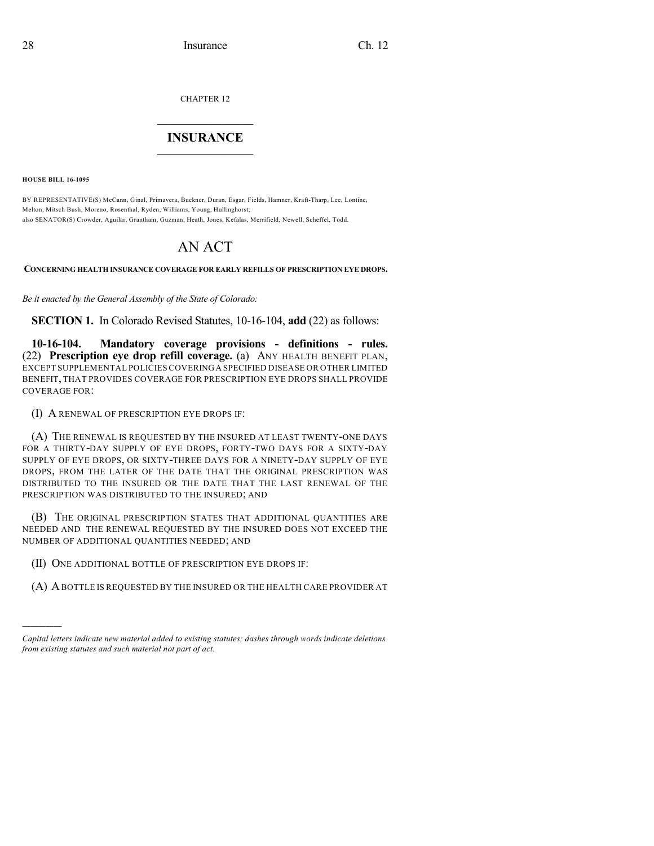CHAPTER 12

## $\mathcal{L}_\text{max}$  . The set of the set of the set of the set of the set of the set of the set of the set of the set of the set of the set of the set of the set of the set of the set of the set of the set of the set of the set **INSURANCE**  $\frac{1}{2}$  ,  $\frac{1}{2}$  ,  $\frac{1}{2}$  ,  $\frac{1}{2}$  ,  $\frac{1}{2}$  ,  $\frac{1}{2}$  ,  $\frac{1}{2}$

**HOUSE BILL 16-1095**

)))))

BY REPRESENTATIVE(S) McCann, Ginal, Primavera, Buckner, Duran, Esgar, Fields, Hamner, Kraft-Tharp, Lee, Lontine, Melton, Mitsch Bush, Moreno, Rosenthal, Ryden, Williams, Young, Hullinghorst; also SENATOR(S) Crowder, Aguilar, Grantham, Guzman, Heath, Jones, Kefalas, Merrifield, Newell, Scheffel, Todd.

## AN ACT

**CONCERNING HEALTH INSURANCE COVERAGE FOR EARLY REFILLS OF PRESCRIPTION EYE DROPS.**

*Be it enacted by the General Assembly of the State of Colorado:*

**SECTION 1.** In Colorado Revised Statutes, 10-16-104, **add** (22) as follows:

**10-16-104. Mandatory coverage provisions - definitions - rules.** (22) **Prescription eye drop refill coverage.** (a) ANY HEALTH BENEFIT PLAN, EXCEPT SUPPLEMENTAL POLICIES COVERINGA SPECIFIED DISEASE OR OTHER LIMITED BENEFIT, THAT PROVIDES COVERAGE FOR PRESCRIPTION EYE DROPS SHALL PROVIDE COVERAGE FOR:

(I) A RENEWAL OF PRESCRIPTION EYE DROPS IF:

(A) THE RENEWAL IS REQUESTED BY THE INSURED AT LEAST TWENTY-ONE DAYS FOR A THIRTY-DAY SUPPLY OF EYE DROPS, FORTY-TWO DAYS FOR A SIXTY-DAY SUPPLY OF EYE DROPS, OR SIXTY-THREE DAYS FOR A NINETY-DAY SUPPLY OF EYE DROPS, FROM THE LATER OF THE DATE THAT THE ORIGINAL PRESCRIPTION WAS DISTRIBUTED TO THE INSURED OR THE DATE THAT THE LAST RENEWAL OF THE PRESCRIPTION WAS DISTRIBUTED TO THE INSURED; AND

(B) THE ORIGINAL PRESCRIPTION STATES THAT ADDITIONAL QUANTITIES ARE NEEDED AND THE RENEWAL REQUESTED BY THE INSURED DOES NOT EXCEED THE NUMBER OF ADDITIONAL QUANTITIES NEEDED; AND

- (II) ONE ADDITIONAL BOTTLE OF PRESCRIPTION EYE DROPS IF:
- (A) ABOTTLE IS REQUESTED BY THE INSURED OR THE HEALTH CARE PROVIDER AT

*Capital letters indicate new material added to existing statutes; dashes through words indicate deletions from existing statutes and such material not part of act.*